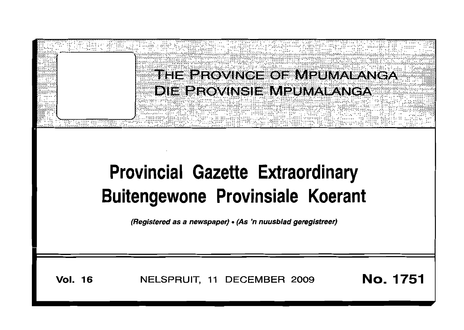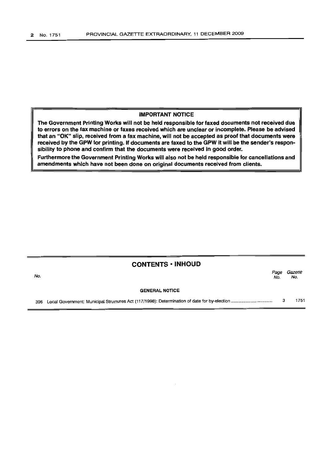#### IMPORTANT NOTICE

The Government Printing Works will not be held responsible for faxed documents not received due to errors on the fax machine or faxes received which are unclear or incomplete. Please be advised that an "OK" slip, received from a fax machine, will not be accepted as proof that documents were received by the GPW for printing. If documents are faxed to the GPW it will be the sender's responsibility to phone and confirm that the documents were received in good order.

Furthermore the Government Printing Works will also not be held responsible for cancellations and amendments which have not been done on original documents received from clients.

| No. |     | <b>CONTENTS · INHOUD</b> | Page<br>No. | Gazette<br>No. |
|-----|-----|--------------------------|-------------|----------------|
|     |     | <b>GENERAL NOTICE</b>    |             |                |
|     | 396 |                          |             | 1751           |